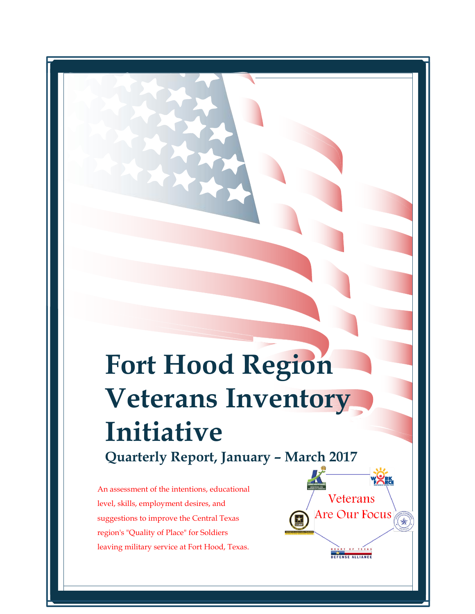# **Fort Hood Region Veterans Inventory Initiative Quarterly Report, January – March 2017**

Veterans

Are Our Focus

OF TEXA DEFENSE ALLIANCE  $\sqrt{\frac{1}{2}}$ 

An assessment of the intentions, educational level, skills, employment desires, and suggestions to improve the Central Texas region's "Quality of Place" for Soldiers leaving military service at Fort Hood, Texas.  gion<br>avin<br>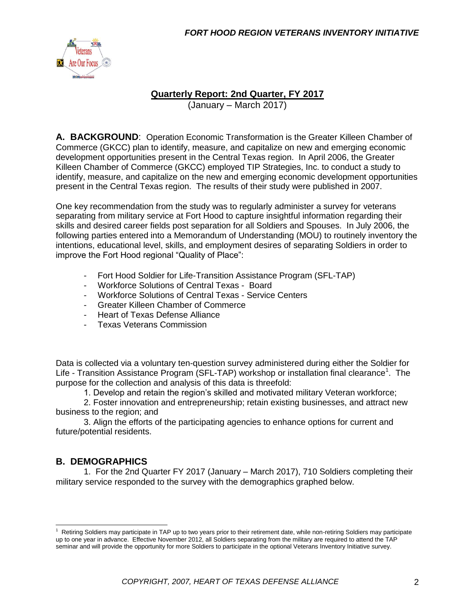

### **Quarterly Report: 2nd Quarter, FY 2017**

(January – March 2017)

**A. BACKGROUND**: Operation Economic Transformation is the Greater Killeen Chamber of Commerce (GKCC) plan to identify, measure, and capitalize on new and emerging economic development opportunities present in the Central Texas region. In April 2006, the Greater Killeen Chamber of Commerce (GKCC) employed TIP Strategies, Inc. to conduct a study to identify, measure, and capitalize on the new and emerging economic development opportunities present in the Central Texas region. The results of their study were published in 2007.

One key recommendation from the study was to regularly administer a survey for veterans separating from military service at Fort Hood to capture insightful information regarding their skills and desired career fields post separation for all Soldiers and Spouses. In July 2006, the following parties entered into a Memorandum of Understanding (MOU) to routinely inventory the intentions, educational level, skills, and employment desires of separating Soldiers in order to improve the Fort Hood regional "Quality of Place":

- Fort Hood Soldier for Life-Transition Assistance Program (SFL-TAP)
- Workforce Solutions of Central Texas Board
- Workforce Solutions of Central Texas Service Centers
- Greater Killeen Chamber of Commerce
- Heart of Texas Defense Alliance
- Texas Veterans Commission

Data is collected via a voluntary ten-question survey administered during either the Soldier for Life - Transition Assistance Program (SFL-TAP) workshop or installation final clearance<sup>1</sup>. The purpose for the collection and analysis of this data is threefold:

1. Develop and retain the region's skilled and motivated military Veteran workforce;

2. Foster innovation and entrepreneurship; retain existing businesses, and attract new business to the region; and

3. Align the efforts of the participating agencies to enhance options for current and future/potential residents.

### **B. DEMOGRAPHICS**

1. For the 2nd Quarter FY 2017 (January – March 2017), 710 Soldiers completing their military service responded to the survey with the demographics graphed below.

 $1$  Retiring Soldiers may participate in TAP up to two years prior to their retirement date, while non-retiring Soldiers may participate up to one year in advance. Effective November 2012, all Soldiers separating from the military are required to attend the TAP seminar and will provide the opportunity for more Soldiers to participate in the optional Veterans Inventory Initiative survey.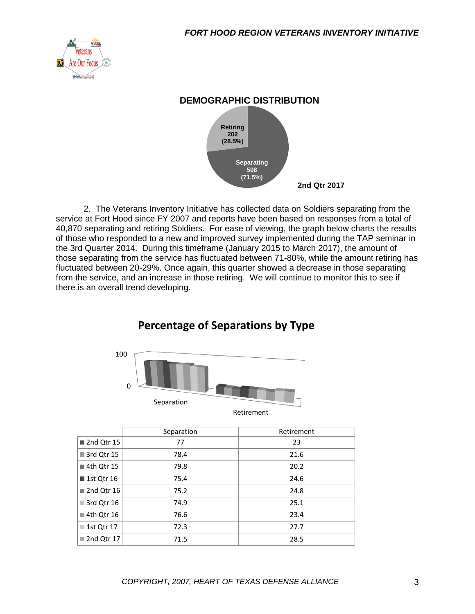



2. The Veterans Inventory Initiative has collected data on Soldiers separating from the service at Fort Hood since FY 2007 and reports have been based on responses from a total of 40,870 separating and retiring Soldiers. For ease of viewing, the graph below charts the results of those who responded to a new and improved survey implemented during the TAP seminar in the 3rd Quarter 2014. During this timeframe (January 2015 to March 2017), the amount of those separating from the service has fluctuated between 71-80%, while the amount retiring has fluctuated between 20-29%. Once again, this quarter showed a decrease in those separating from the service, and an increase in those retiring. We will continue to monitor this to see if there is an overall trend developing.



# **Percentage of Separations by Type**

|                           | Separation | Retirement |
|---------------------------|------------|------------|
| 2nd Qtr 15                | 77         | 23         |
| 3rd Qtr 15                | 78.4       | 21.6       |
| ■ 4th Qtr 15              | 79.8       | 20.2       |
| ■ 1st Qtr 16              | 75.4       | 24.6       |
| 2nd Qtr 16                | 75.2       | 24.8       |
| $\blacksquare$ 3rd Qtr 16 | 74.9       | 25.1       |
| ■ 4th Qtr 16              | 76.6       | 23.4       |
| ■ 1st Qtr 17              | 72.3       | 27.7       |
| ■ 2nd Qtr 17              | 71.5       | 28.5       |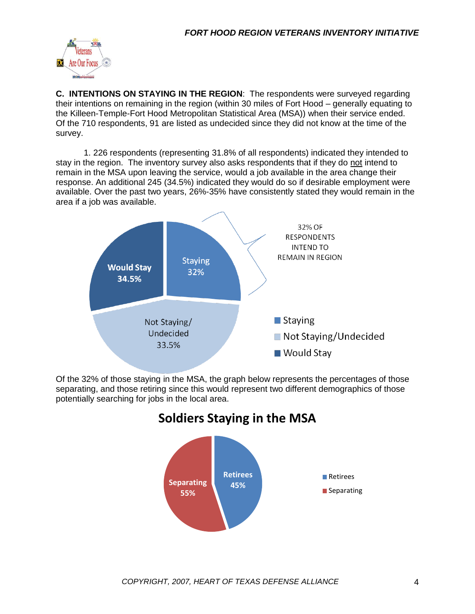

**C. INTENTIONS ON STAYING IN THE REGION**: The respondents were surveyed regarding their intentions on remaining in the region (within 30 miles of Fort Hood – generally equating to the Killeen-Temple-Fort Hood Metropolitan Statistical Area (MSA)) when their service ended. Of the 710 respondents, 91 are listed as undecided since they did not know at the time of the survey.

1. 226 respondents (representing 31.8% of all respondents) indicated they intended to stay in the region. The inventory survey also asks respondents that if they do not intend to remain in the MSA upon leaving the service, would a job available in the area change their response. An additional 245 (34.5%) indicated they would do so if desirable employment were available. Over the past two years, 26%-35% have consistently stated they would remain in the area if a job was available.



Of the 32% of those staying in the MSA, the graph below represents the percentages of those separating, and those retiring since this would represent two different demographics of those potentially searching for jobs in the local area.

# **Soldiers Staying in the MSA**

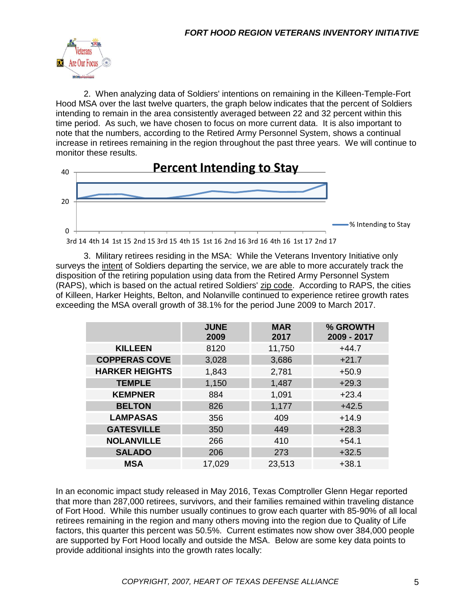

2. When analyzing data of Soldiers' intentions on remaining in the Killeen-Temple-Fort Hood MSA over the last twelve quarters, the graph below indicates that the percent of Soldiers intending to remain in the area consistently averaged between 22 and 32 percent within this time period. As such, we have chosen to focus on more current data. It is also important to note that the numbers, according to the Retired Army Personnel System, shows a continual increase in retirees remaining in the region throughout the past three years. We will continue to monitor these results.





3. Military retirees residing in the MSA: While the Veterans Inventory Initiative only surveys the intent of Soldiers departing the service, we are able to more accurately track the disposition of the retiring population using data from the Retired Army Personnel System (RAPS), which is based on the actual retired Soldiers' zip code. According to RAPS, the cities of Killeen, Harker Heights, Belton, and Nolanville continued to experience retiree growth rates exceeding the MSA overall growth of 38.1% for the period June 2009 to March 2017.

|                       | <b>JUNE</b><br>2009 | <b>MAR</b><br>2017 | % GROWTH<br>2009 - 2017 |
|-----------------------|---------------------|--------------------|-------------------------|
| <b>KILLEEN</b>        | 8120                | 11,750             | $+44.7$                 |
| <b>COPPERAS COVE</b>  | 3,028               | 3,686              | $+21.7$                 |
| <b>HARKER HEIGHTS</b> | 1,843               | 2,781              | $+50.9$                 |
| <b>TEMPLE</b>         | 1,150               | 1,487              | $+29.3$                 |
| <b>KEMPNER</b>        | 884                 | 1,091              | $+23.4$                 |
| <b>BELTON</b>         | 826                 | 1,177              | $+42.5$                 |
| <b>LAMPASAS</b>       | 356                 | 409                | $+14.9$                 |
| <b>GATESVILLE</b>     | 350                 | 449                | $+28.3$                 |
| <b>NOLANVILLE</b>     | 266                 | 410                | $+54.1$                 |
| <b>SALADO</b>         | 206                 | 273                | $+32.5$                 |
| <b>MSA</b>            | 17,029              | 23,513             | $+38.1$                 |

In an economic impact study released in May 2016, Texas Comptroller Glenn Hegar reported that more than 287,000 retirees, survivors, and their families remained within traveling distance of Fort Hood. While this number usually continues to grow each quarter with 85-90% of all local retirees remaining in the region and many others moving into the region due to Quality of Life factors, this quarter this percent was 50.5%. Current estimates now show over 384,000 people are supported by Fort Hood locally and outside the MSA. Below are some key data points to provide additional insights into the growth rates locally: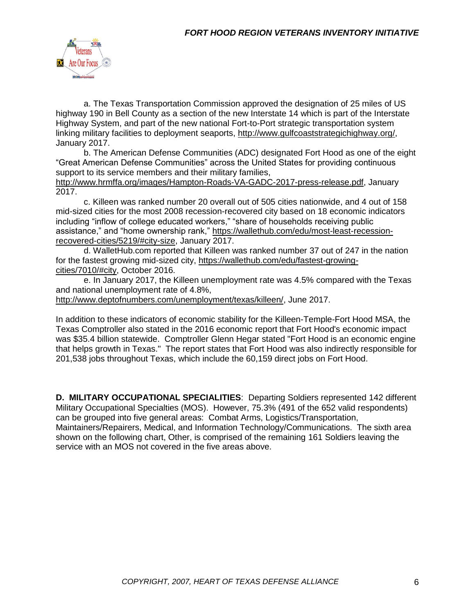

a. The Texas Transportation Commission approved the designation of 25 miles of US highway 190 in Bell County as a section of the new Interstate 14 which is part of the Interstate Highway System, and part of the new national Fort-to-Port strategic transportation system linking military facilities to deployment seaports, [http://www.gulfcoaststrategichighway.org/,](http://www.gulfcoaststrategichighway.org/) January 2017.

b. The American Defense Communities (ADC) designated Fort Hood as one of the eight "Great American Defense Communities" across the United States for providing continuous support to its service members and their military families,

[http://www.hrmffa.org/images/Hampton-Roads-VA-GADC-2017-press-release.pdf,](http://www.hrmffa.org/images/Hampton-Roads-VA-GADC-2017-press-release.pdf) January 2017.

c. Killeen was ranked number 20 overall out of 505 cities nationwide, and 4 out of 158 mid-sized cities for the most 2008 recession-recovered city based on 18 economic indicators including "inflow of college educated workers," "share of households receiving public assistance," and "home ownership rank," [https://wallethub.com/edu/most-least-recession](https://wallethub.com/edu/most-least-recession-recovered-cities/5219/#city-size)[recovered-cities/5219/#city-size,](https://wallethub.com/edu/most-least-recession-recovered-cities/5219/#city-size) January 2017.

d. WalletHub.com reported that Killeen was ranked number 37 out of 247 in the nation for the fastest growing mid-sized city, [https://wallethub.com/edu/fastest-growing](https://wallethub.com/edu/fastest-growing-cities/7010/#city)[cities/7010/#city,](https://wallethub.com/edu/fastest-growing-cities/7010/#city) October 2016.

e. In January 2017, the Killeen unemployment rate was 4.5% compared with the Texas and national unemployment rate of 4.8%,

[http://www.deptofnumbers.com/unemployment/texas/killeen/,](http://www.deptofnumbers.com/unemployment/texas/killeen/) June 2017.

In addition to these indicators of economic stability for the Killeen-Temple-Fort Hood MSA, the Texas Comptroller also stated in the 2016 economic report that Fort Hood's economic impact was \$35.4 billion statewide. Comptroller Glenn Hegar stated "Fort Hood is an economic engine that helps growth in Texas." The report states that Fort Hood was also indirectly responsible for 201,538 jobs throughout Texas, which include the 60,159 direct jobs on Fort Hood.

**D. MILITARY OCCUPATIONAL SPECIALITIES**: Departing Soldiers represented 142 different Military Occupational Specialties (MOS). However, 75.3% (491 of the 652 valid respondents) can be grouped into five general areas: Combat Arms, Logistics/Transportation, Maintainers/Repairers, Medical, and Information Technology/Communications. The sixth area shown on the following chart, Other, is comprised of the remaining 161 Soldiers leaving the service with an MOS not covered in the five areas above.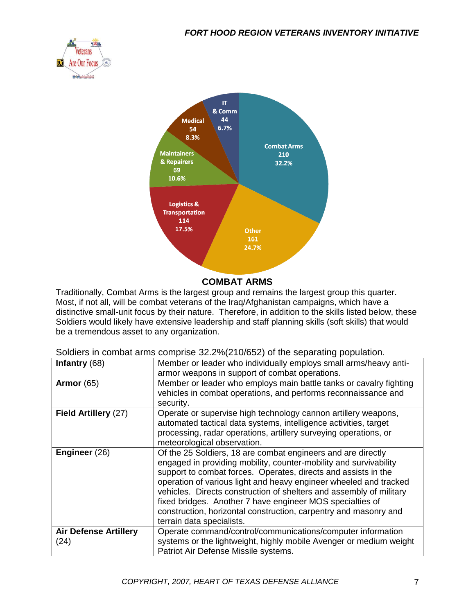



#### **COMBAT ARMS**

Traditionally, Combat Arms is the largest group and remains the largest group this quarter. Most, if not all, will be combat veterans of the Iraq/Afghanistan campaigns, which have a distinctive small-unit focus by their nature. Therefore, in addition to the skills listed below, these Soldiers would likely have extensive leadership and staff planning skills (soft skills) that would be a tremendous asset to any organization.

Soldiers in combat arms comprise 32.2%(210/652) of the separating population.

| Infantry $(68)$                      | Member or leader who individually employs small arms/heavy anti-<br>armor weapons in support of combat operations.                                                                                                                                                                                                                                                                                                                                                                                            |
|--------------------------------------|---------------------------------------------------------------------------------------------------------------------------------------------------------------------------------------------------------------------------------------------------------------------------------------------------------------------------------------------------------------------------------------------------------------------------------------------------------------------------------------------------------------|
|                                      |                                                                                                                                                                                                                                                                                                                                                                                                                                                                                                               |
| <b>Armor</b> (65)                    | Member or leader who employs main battle tanks or cavalry fighting                                                                                                                                                                                                                                                                                                                                                                                                                                            |
|                                      | vehicles in combat operations, and performs reconnaissance and                                                                                                                                                                                                                                                                                                                                                                                                                                                |
|                                      | security.                                                                                                                                                                                                                                                                                                                                                                                                                                                                                                     |
| Field Artillery (27)                 | Operate or supervise high technology cannon artillery weapons,<br>automated tactical data systems, intelligence activities, target<br>processing, radar operations, artillery surveying operations, or<br>meteorological observation.                                                                                                                                                                                                                                                                         |
| Engineer (26)                        | Of the 25 Soldiers, 18 are combat engineers and are directly<br>engaged in providing mobility, counter-mobility and survivability<br>support to combat forces. Operates, directs and assists in the<br>operation of various light and heavy engineer wheeled and tracked<br>vehicles. Directs construction of shelters and assembly of military<br>fixed bridges. Another 7 have engineer MOS specialties of<br>construction, horizontal construction, carpentry and masonry and<br>terrain data specialists. |
| <b>Air Defense Artillery</b><br>(24) | Operate command/control/communications/computer information<br>systems or the lightweight, highly mobile Avenger or medium weight<br>Patriot Air Defense Missile systems.                                                                                                                                                                                                                                                                                                                                     |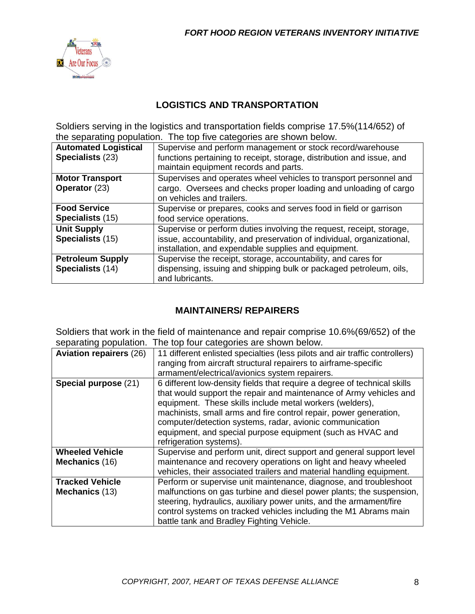

## **LOGISTICS AND TRANSPORTATION**

Soldiers serving in the logistics and transportation fields comprise 17.5%(114/652) of the separating population. The top five categories are shown below.

| <b>Automated Logistical</b><br>Specialists (23) | Supervise and perform management or stock record/warehouse<br>functions pertaining to receipt, storage, distribution and issue, and<br>maintain equipment records and parts.                           |
|-------------------------------------------------|--------------------------------------------------------------------------------------------------------------------------------------------------------------------------------------------------------|
| <b>Motor Transport</b><br><b>Operator (23)</b>  | Supervises and operates wheel vehicles to transport personnel and<br>cargo. Oversees and checks proper loading and unloading of cargo<br>on vehicles and trailers.                                     |
| <b>Food Service</b><br><b>Specialists (15)</b>  | Supervise or prepares, cooks and serves food in field or garrison<br>food service operations.                                                                                                          |
| <b>Unit Supply</b><br>Specialists (15)          | Supervise or perform duties involving the request, receipt, storage,<br>issue, accountability, and preservation of individual, organizational,<br>installation, and expendable supplies and equipment. |
| <b>Petroleum Supply</b><br>Specialists (14)     | Supervise the receipt, storage, accountability, and cares for<br>dispensing, issuing and shipping bulk or packaged petroleum, oils,<br>and lubricants.                                                 |

## **MAINTAINERS/ REPAIRERS**

Soldiers that work in the field of maintenance and repair comprise 10.6%(69/652) of the separating population. The top four categories are shown below.

| <b>Aviation repairers (26)</b> | 11 different enlisted specialties (less pilots and air traffic controllers) |
|--------------------------------|-----------------------------------------------------------------------------|
|                                | ranging from aircraft structural repairers to airframe-specific             |
|                                | armament/electrical/avionics system repairers.                              |
| Special purpose (21)           | 6 different low-density fields that require a degree of technical skills    |
|                                | that would support the repair and maintenance of Army vehicles and          |
|                                | equipment. These skills include metal workers (welders),                    |
|                                | machinists, small arms and fire control repair, power generation,           |
|                                | computer/detection systems, radar, avionic communication                    |
|                                | equipment, and special purpose equipment (such as HVAC and                  |
|                                | refrigeration systems).                                                     |
| <b>Wheeled Vehicle</b>         | Supervise and perform unit, direct support and general support level        |
| Mechanics (16)                 | maintenance and recovery operations on light and heavy wheeled              |
|                                | vehicles, their associated trailers and material handling equipment.        |
| <b>Tracked Vehicle</b>         | Perform or supervise unit maintenance, diagnose, and troubleshoot           |
| Mechanics (13)                 | malfunctions on gas turbine and diesel power plants; the suspension,        |
|                                | steering, hydraulics, auxiliary power units, and the armament/fire          |
|                                | control systems on tracked vehicles including the M1 Abrams main            |
|                                | battle tank and Bradley Fighting Vehicle.                                   |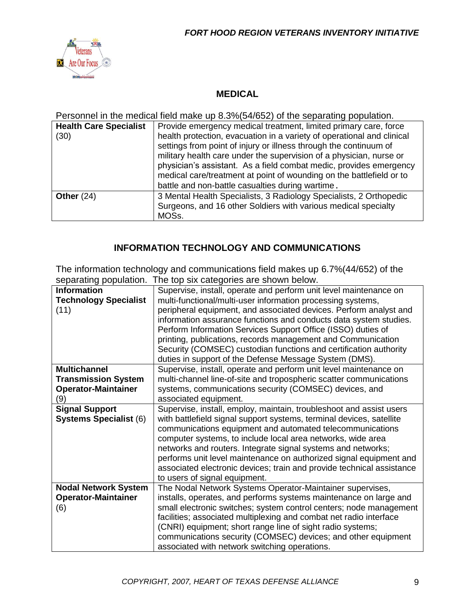

### **MEDICAL**

Personnel in the medical field make up 8.3%(54/652) of the separating population.

| <b>Health Care Specialist</b><br>(30) | Provide emergency medical treatment, limited primary care, force<br>health protection, evacuation in a variety of operational and clinical<br>settings from point of injury or illness through the continuum of<br>military health care under the supervision of a physician, nurse or<br>physician's assistant. As a field combat medic, provides emergency<br>medical care/treatment at point of wounding on the battlefield or to<br>battle and non-battle casualties during wartime. |
|---------------------------------------|------------------------------------------------------------------------------------------------------------------------------------------------------------------------------------------------------------------------------------------------------------------------------------------------------------------------------------------------------------------------------------------------------------------------------------------------------------------------------------------|
| Other $(24)$                          | 3 Mental Health Specialists, 3 Radiology Specialists, 2 Orthopedic<br>Surgeons, and 16 other Soldiers with various medical specialty<br>MOSs.                                                                                                                                                                                                                                                                                                                                            |

### **INFORMATION TECHNOLOGY AND COMMUNICATIONS**

The information technology and communications field makes up 6.7%(44/652) of the separating population. The top six categories are shown below.

| Supervise, install, operate and perform unit level maintenance on<br><b>Information</b><br><b>Technology Specialist</b><br>multi-functional/multi-user information processing systems,<br>peripheral equipment, and associated devices. Perform analyst and<br>(11)<br>information assurance functions and conducts data system studies.<br>Perform Information Services Support Office (ISSO) duties of<br>printing, publications, records management and Communication<br>Security (COMSEC) custodian functions and certification authority<br>duties in support of the Defense Message System (DMS). |
|---------------------------------------------------------------------------------------------------------------------------------------------------------------------------------------------------------------------------------------------------------------------------------------------------------------------------------------------------------------------------------------------------------------------------------------------------------------------------------------------------------------------------------------------------------------------------------------------------------|
|                                                                                                                                                                                                                                                                                                                                                                                                                                                                                                                                                                                                         |
|                                                                                                                                                                                                                                                                                                                                                                                                                                                                                                                                                                                                         |
|                                                                                                                                                                                                                                                                                                                                                                                                                                                                                                                                                                                                         |
|                                                                                                                                                                                                                                                                                                                                                                                                                                                                                                                                                                                                         |
|                                                                                                                                                                                                                                                                                                                                                                                                                                                                                                                                                                                                         |
|                                                                                                                                                                                                                                                                                                                                                                                                                                                                                                                                                                                                         |
|                                                                                                                                                                                                                                                                                                                                                                                                                                                                                                                                                                                                         |
|                                                                                                                                                                                                                                                                                                                                                                                                                                                                                                                                                                                                         |
| Supervise, install, operate and perform unit level maintenance on<br><b>Multichannel</b>                                                                                                                                                                                                                                                                                                                                                                                                                                                                                                                |
| <b>Transmission System</b><br>multi-channel line-of-site and tropospheric scatter communications                                                                                                                                                                                                                                                                                                                                                                                                                                                                                                        |
| <b>Operator-Maintainer</b><br>systems, communications security (COMSEC) devices, and                                                                                                                                                                                                                                                                                                                                                                                                                                                                                                                    |
| (9)<br>associated equipment.                                                                                                                                                                                                                                                                                                                                                                                                                                                                                                                                                                            |
| <b>Signal Support</b><br>Supervise, install, employ, maintain, troubleshoot and assist users                                                                                                                                                                                                                                                                                                                                                                                                                                                                                                            |
| <b>Systems Specialist (6)</b><br>with battlefield signal support systems, terminal devices, satellite                                                                                                                                                                                                                                                                                                                                                                                                                                                                                                   |
| communications equipment and automated telecommunications                                                                                                                                                                                                                                                                                                                                                                                                                                                                                                                                               |
| computer systems, to include local area networks, wide area                                                                                                                                                                                                                                                                                                                                                                                                                                                                                                                                             |
| networks and routers. Integrate signal systems and networks;                                                                                                                                                                                                                                                                                                                                                                                                                                                                                                                                            |
| performs unit level maintenance on authorized signal equipment and                                                                                                                                                                                                                                                                                                                                                                                                                                                                                                                                      |
| associated electronic devices; train and provide technical assistance                                                                                                                                                                                                                                                                                                                                                                                                                                                                                                                                   |
| to users of signal equipment.                                                                                                                                                                                                                                                                                                                                                                                                                                                                                                                                                                           |
| <b>Nodal Network System</b><br>The Nodal Network Systems Operator-Maintainer supervises,                                                                                                                                                                                                                                                                                                                                                                                                                                                                                                                |
| <b>Operator-Maintainer</b><br>installs, operates, and performs systems maintenance on large and                                                                                                                                                                                                                                                                                                                                                                                                                                                                                                         |
| small electronic switches; system control centers; node management<br>(6)                                                                                                                                                                                                                                                                                                                                                                                                                                                                                                                               |
| facilities; associated multiplexing and combat net radio interface                                                                                                                                                                                                                                                                                                                                                                                                                                                                                                                                      |
| (CNRI) equipment; short range line of sight radio systems;                                                                                                                                                                                                                                                                                                                                                                                                                                                                                                                                              |
| communications security (COMSEC) devices; and other equipment                                                                                                                                                                                                                                                                                                                                                                                                                                                                                                                                           |
| associated with network switching operations.                                                                                                                                                                                                                                                                                                                                                                                                                                                                                                                                                           |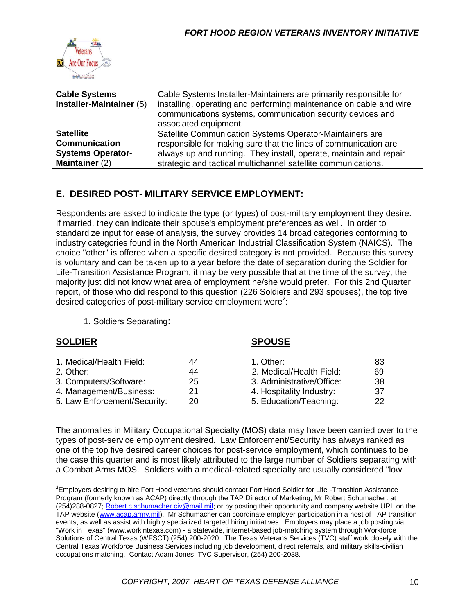

| <b>Cable Systems</b>            | Cable Systems Installer-Maintainers are primarily responsible for  |  |
|---------------------------------|--------------------------------------------------------------------|--|
| <b>Installer-Maintainer (5)</b> | installing, operating and performing maintenance on cable and wire |  |
|                                 | communications systems, communication security devices and         |  |
|                                 | associated equipment.                                              |  |
| <b>Satellite</b>                | Satellite Communication Systems Operator-Maintainers are           |  |
| <b>Communication</b>            | responsible for making sure that the lines of communication are    |  |
| <b>Systems Operator-</b>        | always up and running. They install, operate, maintain and repair  |  |
| Maintainer (2)                  | strategic and tactical multichannel satellite communications.      |  |

## **E. DESIRED POST- MILITARY SERVICE EMPLOYMENT:**

Respondents are asked to indicate the type (or types) of post-military employment they desire. If married, they can indicate their spouse's employment preferences as well. In order to standardize input for ease of analysis, the survey provides 14 broad categories conforming to industry categories found in the North American Industrial Classification System (NAICS). The choice "other" is offered when a specific desired category is not provided. Because this survey is voluntary and can be taken up to a year before the date of separation during the Soldier for Life-Transition Assistance Program, it may be very possible that at the time of the survey, the majority just did not know what area of employment he/she would prefer. For this 2nd Quarter report, of those who did respond to this question (226 Soldiers and 293 spouses), the top five desired categories of post-military service employment were<sup>2</sup>:

1. Soldiers Separating:

#### **SPOUSE**

| 1. Medical/Health Field:<br>2. Other:<br>3. Computers/Software: | 44<br>44<br>25 | 1. Other:<br>2. Medical/Health Field:<br>3. Administrative/Office: | 83<br>69<br>-38 |
|-----------------------------------------------------------------|----------------|--------------------------------------------------------------------|-----------------|
| 4. Management/Business:                                         | 21             | 4. Hospitality Industry:                                           | -37             |
| 5. Law Enforcement/Security:                                    | 20             | 5. Education/Teaching:                                             | 22              |

The anomalies in Military Occupational Specialty (MOS) data may have been carried over to the types of post-service employment desired. Law Enforcement/Security has always ranked as one of the top five desired career choices for post-service employment, which continues to be the case this quarter and is most likely attributed to the large number of Soldiers separating with a Combat Arms MOS. Soldiers with a medical-related specialty are usually considered "low

<sup>&</sup>lt;sup>2</sup>Employers desiring to hire Fort Hood veterans should contact Fort Hood Soldier for Life -Transition Assistance Program (formerly known as ACAP) directly through the TAP Director of Marketing, Mr Robert Schumacher: at (254)288-0827; [Robert.c.schumacher.civ@mail.mil;](mailto:Robert.c.schumacher.civ@mail.mil) or by posting their opportunity and company website URL on the TAP website [\(www.acap.army.mil\)](http://www.acap.army.mil/). Mr Schumacher can coordinate employer participation in a host of TAP transition events, as well as assist with highly specialized targeted hiring initiatives. Employers may place a job posting via "Work in Texas" (www.workintexas.com) - a statewide, internet-based job-matching system through Workforce Solutions of Central Texas (WFSCT) (254) 200-2020. The Texas Veterans Services (TVC) staff work closely with the Central Texas Workforce Business Services including job development, direct referrals, and military skills-civilian occupations matching. Contact Adam Jones, TVC Supervisor, (254) 200-2038.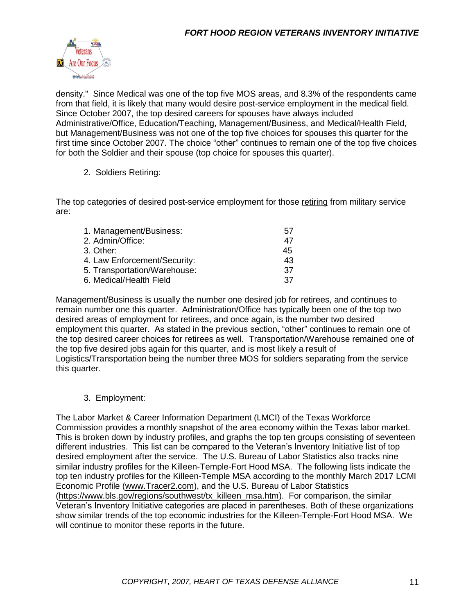

density." Since Medical was one of the top five MOS areas, and 8.3% of the respondents came from that field, it is likely that many would desire post-service employment in the medical field. Since October 2007, the top desired careers for spouses have always included Administrative/Office, Education/Teaching, Management/Business, and Medical/Health Field, but Management/Business was not one of the top five choices for spouses this quarter for the first time since October 2007. The choice "other" continues to remain one of the top five choices for both the Soldier and their spouse (top choice for spouses this quarter).

#### 2. Soldiers Retiring:

The top categories of desired post-service employment for those retiring from military service are:

| 1. Management/Business:      | 57 |
|------------------------------|----|
| 2. Admin/Office:             | 47 |
| 3. Other:                    | 45 |
| 4. Law Enforcement/Security: | 43 |
| 5. Transportation/Warehouse: | 37 |
| 6. Medical/Health Field      | 37 |

Management/Business is usually the number one desired job for retirees, and continues to remain number one this quarter. Administration/Office has typically been one of the top two desired areas of employment for retirees, and once again, is the number two desired employment this quarter. As stated in the previous section, "other" continues to remain one of the top desired career choices for retirees as well. Transportation/Warehouse remained one of the top five desired jobs again for this quarter, and is most likely a result of Logistics/Transportation being the number three MOS for soldiers separating from the service this quarter.

3. Employment:

The Labor Market & Career Information Department (LMCI) of the Texas Workforce Commission provides a monthly snapshot of the area economy within the Texas labor market. This is broken down by industry profiles, and graphs the top ten groups consisting of seventeen different industries. This list can be compared to the Veteran's Inventory Initiative list of top desired employment after the service. The U.S. Bureau of Labor Statistics also tracks nine similar industry profiles for the Killeen-Temple-Fort Hood MSA. The following lists indicate the top ten industry profiles for the Killeen-Temple MSA according to the monthly March 2017 LCMI Economic Profile [\(www.Tracer2.com\)](http://www.tracer2.com/), and the U.S. Bureau of Labor Statistics [\(https://www.bls.gov/regions/southwest/tx\\_killeen\\_msa.htm\)](https://www.bls.gov/regions/southwest/tx_killeen_msa.htm). For comparison, the similar Veteran's Inventory Initiative categories are placed in parentheses. Both of these organizations show similar trends of the top economic industries for the Killeen-Temple-Fort Hood MSA. We will continue to monitor these reports in the future.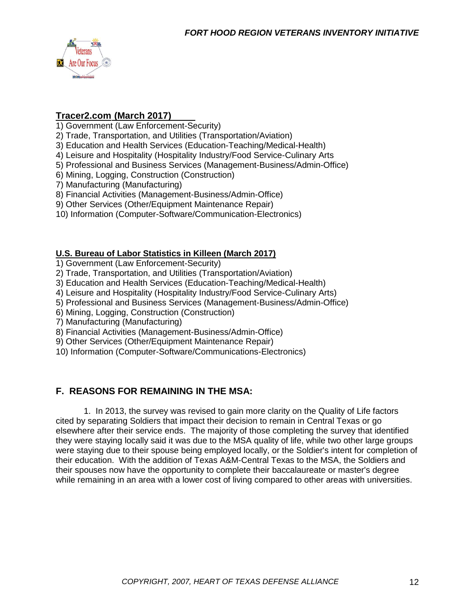

#### **Tracer2.com (March 2017)**

1) Government (Law Enforcement-Security)

- 2) Trade, Transportation, and Utilities (Transportation/Aviation)
- 3) Education and Health Services (Education-Teaching/Medical-Health)
- 4) Leisure and Hospitality (Hospitality Industry/Food Service-Culinary Arts
- 5) Professional and Business Services (Management-Business/Admin-Office)
- 6) Mining, Logging, Construction (Construction)
- 7) Manufacturing (Manufacturing)
- 8) Financial Activities (Management-Business/Admin-Office)
- 9) Other Services (Other/Equipment Maintenance Repair)
- 10) Information (Computer-Software/Communication-Electronics)

#### **U.S. Bureau of Labor Statistics in Killeen (March 2017)**

- 1) Government (Law Enforcement-Security)
- 2) Trade, Transportation, and Utilities (Transportation/Aviation)
- 3) Education and Health Services (Education-Teaching/Medical-Health)
- 4) Leisure and Hospitality (Hospitality Industry/Food Service-Culinary Arts)
- 5) Professional and Business Services (Management-Business/Admin-Office)
- 6) Mining, Logging, Construction (Construction)
- 7) Manufacturing (Manufacturing)
- 8) Financial Activities (Management-Business/Admin-Office)
- 9) Other Services (Other/Equipment Maintenance Repair)
- 10) Information (Computer-Software/Communications-Electronics)

### **F. REASONS FOR REMAINING IN THE MSA:**

1. In 2013, the survey was revised to gain more clarity on the Quality of Life factors cited by separating Soldiers that impact their decision to remain in Central Texas or go elsewhere after their service ends. The majority of those completing the survey that identified they were staying locally said it was due to the MSA quality of life, while two other large groups were staying due to their spouse being employed locally, or the Soldier's intent for completion of their education. With the addition of Texas A&M-Central Texas to the MSA, the Soldiers and their spouses now have the opportunity to complete their baccalaureate or master's degree while remaining in an area with a lower cost of living compared to other areas with universities.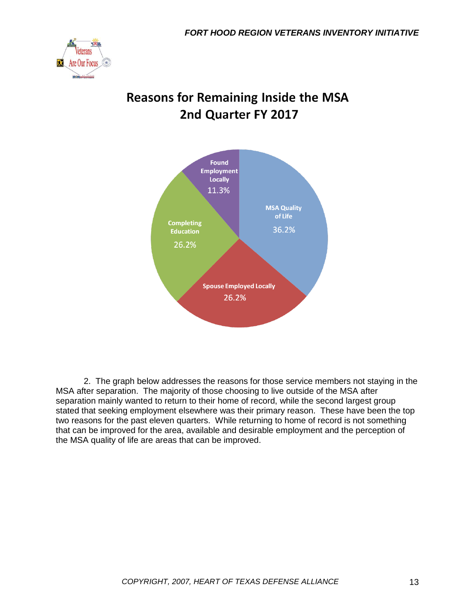

# **Reasons for Remaining Inside the MSA** 2nd Quarter FY 2017



2. The graph below addresses the reasons for those service members not staying in the MSA after separation. The majority of those choosing to live outside of the MSA after separation mainly wanted to return to their home of record, while the second largest group stated that seeking employment elsewhere was their primary reason. These have been the top two reasons for the past eleven quarters. While returning to home of record is not something that can be improved for the area, available and desirable employment and the perception of the MSA quality of life are areas that can be improved.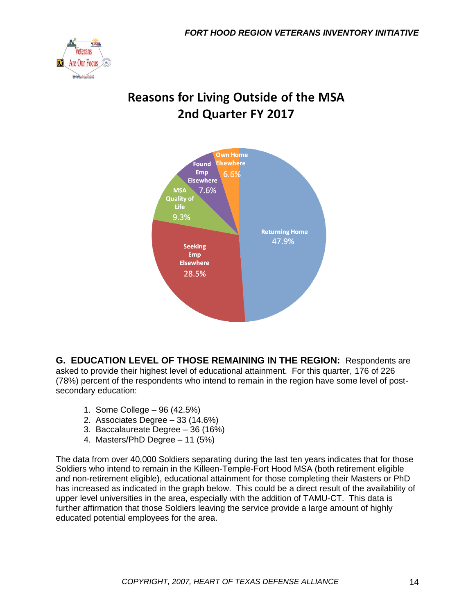

# **Reasons for Living Outside of the MSA** 2nd Quarter FY 2017



**G. EDUCATION LEVEL OF THOSE REMAINING IN THE REGION:** Respondents are asked to provide their highest level of educational attainment. For this quarter, 176 of 226 (78%) percent of the respondents who intend to remain in the region have some level of postsecondary education:

- 1. Some College 96 (42.5%)
- 2. Associates Degree 33 (14.6%)
- 3. Baccalaureate Degree 36 (16%)
- 4. Masters/PhD Degree 11 (5%)

The data from over 40,000 Soldiers separating during the last ten years indicates that for those Soldiers who intend to remain in the Killeen-Temple-Fort Hood MSA (both retirement eligible and non-retirement eligible), educational attainment for those completing their Masters or PhD has increased as indicated in the graph below. This could be a direct result of the availability of upper level universities in the area, especially with the addition of TAMU-CT. This data is further affirmation that those Soldiers leaving the service provide a large amount of highly educated potential employees for the area.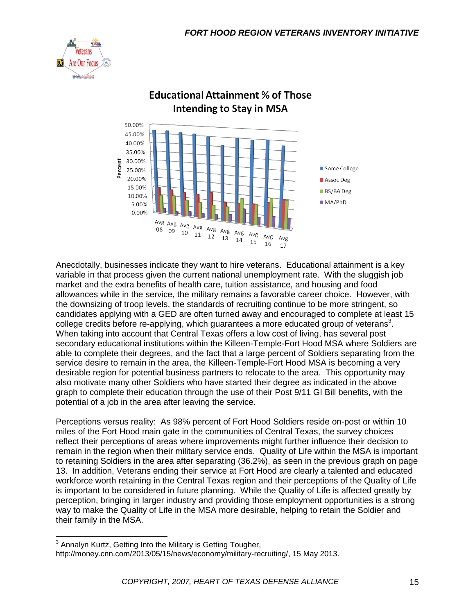



## **Educational Attainment % of Those Intending to Stay in MSA**

Anecdotally, businesses indicate they want to hire veterans. Educational attainment is a key variable in that process given the current national unemployment rate. With the sluggish job market and the extra benefits of health care, tuition assistance, and housing and food allowances while in the service, the military remains a favorable career choice. However, with the downsizing of troop levels, the standards of recruiting continue to be more stringent, so candidates applying with a GED are often turned away and encouraged to complete at least 15 college credits before re-applying, which guarantees a more educated group of veterans<sup>3</sup>. When taking into account that Central Texas offers a low cost of living, has several post secondary educational institutions within the Killeen-Temple-Fort Hood MSA where Soldiers are able to complete their degrees, and the fact that a large percent of Soldiers separating from the service desire to remain in the area, the Killeen-Temple-Fort Hood MSA is becoming a very desirable region for potential business partners to relocate to the area. This opportunity may also motivate many other Soldiers who have started their degree as indicated in the above graph to complete their education through the use of their Post 9/11 GI Bill benefits, with the potential of a job in the area after leaving the service.

Perceptions versus reality: As 98% percent of Fort Hood Soldiers reside on-post or within 10 miles of the Fort Hood main gate in the communities of Central Texas, the survey choices reflect their perceptions of areas where improvements might further influence their decision to remain in the region when their military service ends. Quality of Life within the MSA is important to retaining Soldiers in the area after separating (36.2%), as seen in the previous graph on page 13. In addition, Veterans ending their service at Fort Hood are clearly a talented and educated workforce worth retaining in the Central Texas region and their perceptions of the Quality of Life is important to be considered in future planning. While the Quality of Life is affected greatly by perception, bringing in larger industry and providing those employment opportunities is a strong way to make the Quality of Life in the MSA more desirable, helping to retain the Soldier and their family in the MSA.

 3 Annalyn Kurtz, Getting Into the Military is Getting Tougher,

http://money.cnn.com/2013/05/15/news/economy/military-recruiting/, 15 May 2013.